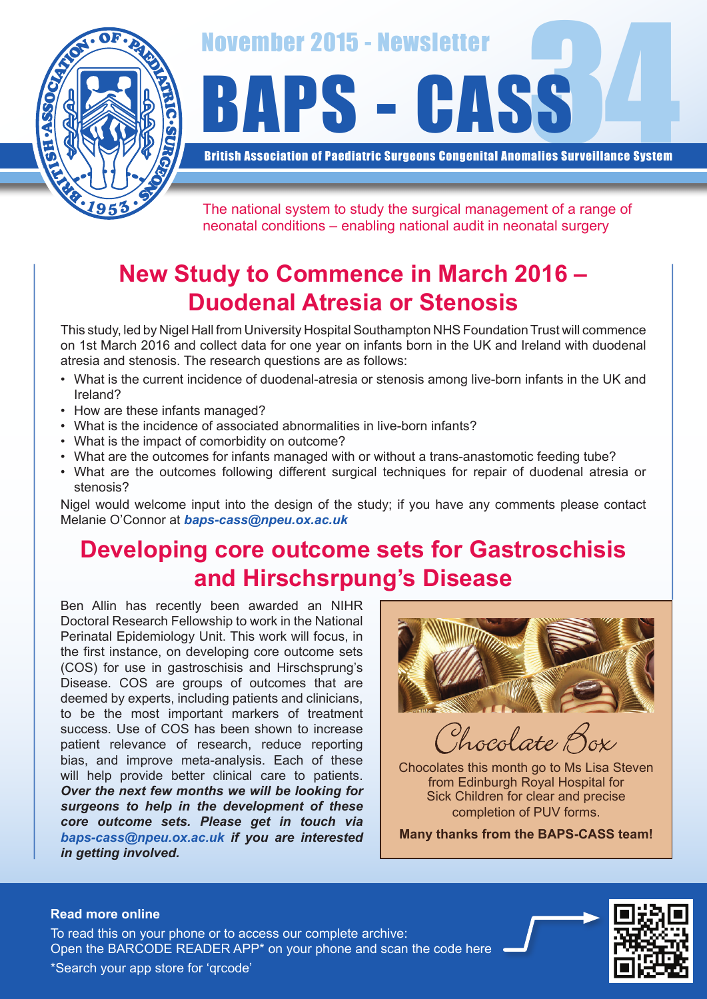

November 2015 - Newsletter<br>BAPS - CASS

British Association of Paediatric Surgeons Congenital Anomalies Surveillance System

The national system to study the surgical management of a range of neonatal conditions – enabling national audit in neonatal surgery

# **New Study to Commence in March 2016 – Duodenal Atresia or Stenosis**

This study, led by Nigel Hall from University Hospital Southampton NHS Foundation Trust will commence on 1st March 2016 and collect data for one year on infants born in the UK and Ireland with duodenal atresia and stenosis. The research questions are as follows:

- What is the current incidence of duodenal-atresia or stenosis among live-born infants in the UK and Ireland?
- How are these infants managed?
- What is the incidence of associated abnormalities in live-born infants?
- What is the impact of comorbidity on outcome?
- What are the outcomes for infants managed with or without a trans-anastomotic feeding tube?
- What are the outcomes following different surgical techniques for repair of duodenal atresia or stenosis?

Nigel would welcome input into the design of the study; if you have any comments please contact Melanie O'Connor at *baps-cass@npeu.ox.ac.uk*

### **Developing core outcome sets for Gastroschisis and Hirschsrpung's Disease**

Ben Allin has recently been awarded an NIHR Doctoral Research Fellowship to work in the National Perinatal Epidemiology Unit. This work will focus, in the first instance, on developing core outcome sets (COS) for use in gastroschisis and Hirschsprung's Disease. COS are groups of outcomes that are deemed by experts, including patients and clinicians, to be the most important markers of treatment success. Use of COS has been shown to increase patient relevance of research, reduce reporting bias, and improve meta-analysis. Each of these will help provide better clinical care to patients. *Over the next few months we will be looking for surgeons to help in the development of these core outcome sets. Please get in touch via baps-cass@npeu.ox.ac.uk if you are interested in getting involved.*



Chocolate B

Chocolates this month go to Ms Lisa Steven from Edinburgh Royal Hospital for Sick Children for clear and precise completion of PUV forms.

**Many thanks from the BAPS-CASS team!**

#### **Read more online**

Open the BARCODE READER APP\* on your phone and scan the code here To read this on your phone or to access our complete archive: \*Search your app store for 'qrcode'